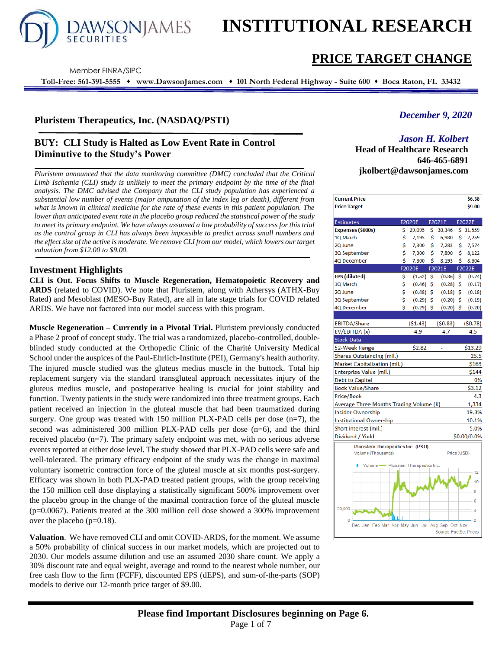

# **INSTITUTIONAL RESEARCH**

# **PRICE TARGET CHANGE**

Member FINRA/SIPC

**Toll-Free: 561-391-5555** ⬧ **www.DawsonJames.com** ⬧ **101 North Federal Highway - Suite 600** ⬧ **Boca Raton, FL 33432**

# **Pluristem Therapeutics, Inc. (NASDAQ/PSTI)**

# **BUY: CLI Study is Halted as Low Event Rate in Control Diminutive to the Study's Power**

*Pluristem announced that the data monitoring committee (DMC) concluded that the Critical Limb Ischemia (CLI) study is unlikely to meet the primary endpoint by the time of the final analysis. The DMC advised the Company that the CLI study population has experienced a substantial low number of events (major amputation of the index leg or death), different from what is known in clinical medicine for the rate of these events in this patient population. The lower than anticipated event rate in the placebo group reduced the statistical power of the study to meet its primary endpoint. We have always assumed a low probability of success for this trial as the control group in CLI has always been impossible to predict across small numbers and the effect size of the active is moderate. We remove CLI from our model, which lowers our target valuation from \$12.00 to \$9.00.*

### **Investment Highlights**

**CLI is Out. Focus Shifts to Muscle Regeneration, Hematopoietic Recovery and ARDS** (related to COVID). We note that Pluristem, along with Athersys (ATHX-Buy Rated) and Mesoblast (MESO-Buy Rated), are all in late stage trials for COVID related ARDS. We have not factored into our model success with this program.

**Muscle Regeneration – Currently in a Pivotal Trial.** Pluristem previously conducted a Phase 2 proof of concept study. The trial was a randomized, placebo-controlled, doubleblinded study conducted at the Orthopedic Clinic of the Charité University Medical School under the auspices of the Paul-Ehrlich-Institute (PEI), Germany's health authority. The injured muscle studied was the gluteus medius muscle in the buttock. Total hip replacement surgery via the standard transgluteal approach necessitates injury of the gluteus medius muscle, and postoperative healing is crucial for joint stability and function. Twenty patients in the study were randomized into three treatment groups. Each patient received an injection in the gluteal muscle that had been traumatized during surgery. One group was treated with 150 million PLX-PAD cells per dose  $(n=7)$ , the second was administered 300 million PLX-PAD cells per dose (n=6), and the third received placebo (n=7). The primary safety endpoint was met, with no serious adverse events reported at either dose level. The study showed that PLX-PAD cells were safe and well-tolerated. The primary efficacy endpoint of the study was the change in maximal voluntary isometric contraction force of the gluteal muscle at six months post-surgery. Efficacy was shown in both PLX-PAD treated patient groups, with the group receiving the 150 million cell dose displaying a statistically significant 500% improvement over the placebo group in the change of the maximal contraction force of the gluteal muscle (p=0.0067). Patients treated at the 300 million cell dose showed a 300% improvement over the placebo (p=0.18).

**Valuation**. We have removed CLI and omit COVID-ARDS, for the moment. We assume a 50% probability of clinical success in our market models, which are projected out to 2030. Our models assume dilution and use an assumed 2030 share count. We apply a 30% discount rate and equal weight, average and round to the nearest whole number, our free cash flow to the firm (FCFF), discounted EPS (dEPS), and sum-of-the-parts (SOP) models to derive our 12-month price target of \$9.00.

# *December 9, 2020*

# *Jason H. Kolbert*

**Head of Healthcare Research 646-465-6891 jkolbert@dawsonjames.com**

| <b>Current Price</b><br><b>Price Target</b>     |    |             |     |                        |     | \$6.38<br>\$9.00 |
|-------------------------------------------------|----|-------------|-----|------------------------|-----|------------------|
|                                                 |    |             |     |                        |     |                  |
| <b>Estimates</b>                                |    | F2020E      |     | F2021E                 |     | F2022E           |
| Expenses (\$000s)                               | \$ | 29,095      | \$. | 30,346                 | \$. | 31,559           |
| 1Q March                                        | \$ | 7,195       | \$  | 6,980                  | \$  | 7,259            |
| 2Q June                                         | \$ | 7,300       | \$  | 7,283                  | Ś   | 7,574            |
| 3Q September                                    | \$ | 7,300       | \$  | 7,890                  | \$  | 8,122            |
| 4Q December                                     | Ś  | 7,300       | Ś   | 8,193                  | Ś   | 8,604            |
|                                                 |    | F2020E      |     | F2021E                 |     | F2022E           |
| <b>EPS</b> (diluted)                            | \$ | (1.52)      | \$  | (0.86)                 | \$  | (0.74)           |
| 1Q March                                        | \$ | (0.46)      | \$  | (0.28)                 | \$  | (0.17)           |
| 2Q June                                         | \$ | (0.48)      | \$  | (0.18)                 | \$  | (0.18)           |
| 3Q September                                    | \$ | (0.29)      | Ś   | (0.20)                 | \$  | (0.19)           |
| 4Q December                                     | Ś  | $(0.29)$ \$ |     | (0.20)                 | \$  | (0.20)           |
|                                                 |    |             |     |                        |     |                  |
| <b>EBITDA/Share</b>                             |    | ( \$1.43)   |     | (50.83)                |     | (50.78)          |
| EV/EBITDA (x)                                   |    | $-4.9$      |     | $-4.7$                 |     | $-4.5$           |
| <b>Stock Data</b>                               |    |             |     |                        |     |                  |
| 52-Week Range                                   |    | \$2.82      |     |                        |     | \$13.29          |
| Shares Outstanding (mil.)                       |    |             |     |                        |     | 25.5             |
| Market Capitalization (mil.)                    |    |             |     |                        |     | \$163            |
| Enterprise Value (mil.)                         |    |             |     |                        |     | \$144            |
| Debt to Capital                                 |    |             |     |                        |     | 0%               |
| <b>Book Value/Share</b>                         |    |             |     |                        |     | \$3.12           |
| Price/Book                                      |    |             |     |                        |     | 4.3              |
| Average Three Months Trading Volume (K)         |    |             |     |                        |     | 1,334            |
| <b>Insider Ownership</b>                        |    |             |     |                        |     | 19.3%            |
| <b>Institutional Ownership</b>                  |    |             |     |                        |     | 10.1%            |
| Short interest (mil.)                           |    |             |     |                        |     | 5.0%             |
| Dividend / Yield                                |    |             |     |                        |     | \$0.00/0.0%      |
| <b>Pluristem Therapeutics Inc. (PSTI)</b>       |    |             |     |                        |     |                  |
| Volume (Thousands)                              |    |             |     | Price (USD)            |     |                  |
| Volume Pluristem Therapeutics Inc.<br>П         |    |             |     |                        |     | 12<br>10         |
|                                                 |    |             |     |                        |     | 8                |
| 20,000                                          |    |             |     |                        |     | 6<br>Δ           |
| 0                                               |    |             |     |                        |     | $\overline{2}$   |
| Dec Jan Feb Mar Apr May Jun Jul Aug Sep Oct Nov |    |             |     | Source: FactSet Prices |     |                  |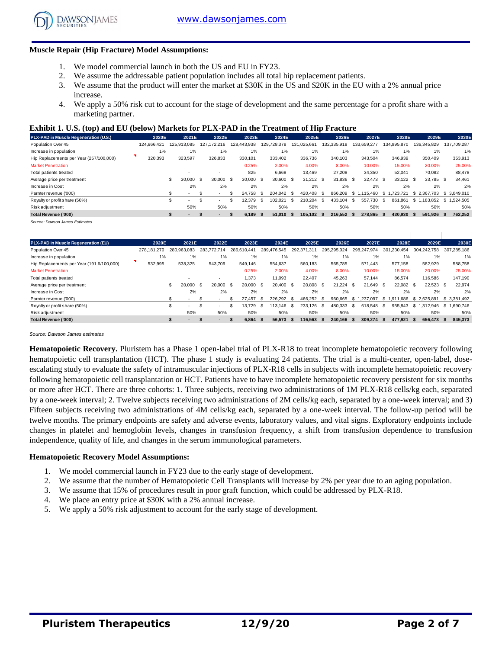

#### **Muscle Repair (Hip Fracture) Model Assumptions:**

- 1. We model commercial launch in both the US and EU in FY23.
- 2. We assume the addressable patient population includes all total hip replacement patients.
- 3. We assume that the product will enter the market at \$30K in the US and \$20K in the EU with a 2% annual price increase.
- 4. We apply a 50% risk cut to account for the stage of development and the same percentage for a profit share with a marketing partner.

#### **Exhibit 1. U.S. (top) and EU (below) Markets for PLX-PAD in the Treatment of Hip Fracture**

| marketing partner.                                                                               |             |                 |                |             |      |             |      |             |      |             |               |             |      |             |             |     |              |
|--------------------------------------------------------------------------------------------------|-------------|-----------------|----------------|-------------|------|-------------|------|-------------|------|-------------|---------------|-------------|------|-------------|-------------|-----|--------------|
| <b>Exhibit 1. U.S. (top) and EU (below) Markets for PLX-PAD in the Treatment of Hip Fracture</b> |             |                 |                |             |      |             |      |             |      |             |               |             |      |             |             |     |              |
| PLX-PAD in Muscle Regeneration (U.S.)                                                            | 2020E       | 2021E           | 2022E          | 2023E       |      | 2024E       |      | 2025E       |      | 2026E       |               | 2027E       |      | 2028E       | 2029E       |     | 2030E        |
| Population Over 45                                                                               | 124.666.421 | 125.913.085     | 127.172.216    | 128.443.938 |      | 129,728,378 |      | 131.025.661 |      | 132,335,918 |               | 133.659.277 |      | 134.995.870 | 136.345.829 |     | 137,709,287  |
| Increase in population                                                                           | 1%          | 1%              | 1%             | 1%          |      | 1%          |      | 1%          |      | 1%          |               | 1%          |      | 1%          | 1%          |     | 1%           |
| Hip Replacements per Year (257/100,000)                                                          | 320,393     | 323,597         | 326,833        | 330,101     |      | 333.402     |      | 336,736     |      | 340,103     |               | 343,504     |      | 346,939     | 350,409     |     | 353,913      |
| <b>Market Penetration</b>                                                                        |             |                 |                | 0.25%       |      | 2.00%       |      | 4.00%       |      | 8.00%       |               | 10.00%      |      | 15.00%      | 20.00%      |     | 25.00%       |
| Total patients treated                                                                           |             |                 | $\sim$         | 825         |      | 6.668       |      | 13.469      |      | 27,208      |               | 34,350      |      | 52,041      | 70.082      |     | 88,478       |
| Average price per treatment                                                                      |             | \$<br>30.000 \$ | 30,000 \$      | 30,000      | - \$ | 30.600      | - \$ | $31.212$ \$ |      | 31.836 \$   |               | 32.473 \$   |      | 33.122 \$   | 33,785 \$   |     | 34.461       |
| Increase in Cost                                                                                 |             | 2%              | 2%             | 2%          |      | 2%          |      | 2%          |      | 2%          |               | 2%          |      | 2%          | 2%          |     | 2%           |
| Parnter revenue ('000)                                                                           |             | ۰               |                | 24.758      | \$.  | 204.042     | - \$ | 420.408     | - \$ | 866.209     | $$^{\circ}$ 1 | .115.460    | S.   | .723.721    | \$2.367.703 |     | \$ 3,049,010 |
| Royalty or profit share (50%)                                                                    |             | . .             | <b>м.</b>      | 12,379      | - 55 | 102,021     | \$.  | 210,204     | Ŝ.   | 433,104     | - \$          | 557.730     | - \$ | 861.861     | \$1.183.852 |     | \$1,524,505  |
| Risk adjustment                                                                                  |             | 50%             | 50%            | 50%         |      | 50%         |      | 50%         |      | 50%         |               | 50%         |      | 50%         | 50%         |     | 50%          |
| Total Revenue ('000)                                                                             |             |                 | $\blacksquare$ | 6.189       | -S.  | 51,010      | - 5. | 105,102     | - \$ | 216.552     | - 5           | 278.865     |      | 430,930 \$  | 591.926     | - 5 | 762,252      |
|                                                                                                  |             |                 |                |             |      |             |      |             |      |             |               |             |      |             |             |     |              |

| Total Revenue ('000)                      |             |              |      |                |          | 6,189       | -35 | 51,010      | - 56 | 105,102     | - 55 | 216,552     | - 5  | 278.865     |      | 430,930     | 591,926     | ъ   | 762,252     |
|-------------------------------------------|-------------|--------------|------|----------------|----------|-------------|-----|-------------|------|-------------|------|-------------|------|-------------|------|-------------|-------------|-----|-------------|
| Source: Dawson James Estimates            |             |              |      |                |          |             |     |             |      |             |      |             |      |             |      |             |             |     |             |
|                                           |             |              |      |                |          |             |     |             |      |             |      |             |      |             |      |             |             |     |             |
| PLX-PAD in Muscle Regeneration (EU)       | 2020E       | 2021E        |      | 2022E          |          | 2023E       |     | 2024E       |      | 2025E       |      | 2026E       |      | 2027E       |      | 2028E       | 2029E       |     | 2030E       |
| Population Over 45                        | 278,181,270 | 280.963.083  |      | 283.772.714    |          | 286,610,441 |     | 289,476,545 |      | 292.371.311 |      | 295,295,024 |      | 298,247,974 |      | 301.230.454 | 304.242.758 |     | 307,285,186 |
| Increase in population                    | 1%          | 1%           |      | 1%             |          | 1%          |     | 1%          |      | $1\%$       |      | 1%          |      | 1%          |      | 1%          | 1%          |     | 1%          |
| Hip Replacements per Year (191.6/100,000) | 532,995     | 538,325      |      | 543,709        |          | 549,146     |     | 554,637     |      | 560,183     |      | 565,785     |      | 571,443     |      | 577,158     | 582,929     |     | 588,758     |
| <b>Market Penetration</b>                 |             |              |      |                |          | 0.25%       |     | 2.00%       |      | 4.00%       |      | 8.00%       |      | 10.00%      |      | 15.00%      | 20.00%      |     | 25.00%      |
| Total patients treated                    |             | ۰            |      |                |          | 1,373       |     | 11.093      |      | 22,407      |      | 45.263      |      | 57.144      |      | 86,574      | 116.586     |     | 147,190     |
| Average price per treatment               |             | \$<br>20,000 | - \$ | 20,000         | - \$     | 20,000      | -S  | 20.400      | - \$ | 20,808 \$   |      | $21.224$ \$ |      | 21.649 \$   |      | 22,082 \$   | 22,523 \$   |     | 22,974      |
| Increase in Cost                          |             | 2%           |      | 2%             |          | 2%          |     | 2%          |      | 2%          |      | 2%          |      | 2%          |      | 2%          | 2%          |     | 2%          |
| Parnter revenue ('000)                    |             |              | £.   |                |          | 27.457      | -S  | 226.292     | - \$ | 466.252     | - \$ | 960.665     | £.   | .237.097    |      | \$1.911.686 | \$2.625.891 |     | \$3,381,492 |
| Royalty or profit share (50%)             |             | \$<br>. .    | \$   |                | £.       | 13.729      | -S  | 113.146     | - \$ | 233,126     | - \$ | 480.333     | - \$ | 618.548     | - \$ | 955.843     | \$1.312.946 |     | \$1.690.746 |
| Risk adjustment                           |             | 50%          |      | 50%            |          | 50%         |     | 50%         |      | 50%         |      | 50%         |      | 50%         |      | 50%         | 50%         |     | 50%         |
| Total Revenue ('000)                      |             | \$.          | S    | $\blacksquare$ | <b>S</b> | 6,864       | -S  | 56,573      | - S  | 116,563     | - 55 | 240,166 \$  |      | 309,274     | - 55 | 477.921     | 656.473     | - S | 845,373     |

*Source: Dawson James estimates*

**Hematopoietic Recovery.** Pluristem has a Phase 1 open-label trial of PLX-R18 to treat incomplete hematopoietic recovery following hematopoietic cell transplantation (HCT). The phase 1 study is evaluating 24 patients. The trial is a multi-center, open-label, doseescalating study to evaluate the safety of intramuscular injections of PLX-R18 cells in subjects with incomplete hematopoietic recovery following hematopoietic cell transplantation or HCT. Patients have to have incomplete hematopoietic recovery persistent for six months or more after HCT. There are three cohorts: 1. Three subjects, receiving two administrations of 1M PLX-R18 cells/kg each, separated by a one-week interval; 2. Twelve subjects receiving two administrations of 2M cells/kg each, separated by a one-week interval; and 3) Fifteen subjects receiving two administrations of 4M cells/kg each, separated by a one-week interval. The follow-up period will be twelve months. The primary endpoints are safety and adverse events, laboratory values, and vital signs. Exploratory endpoints include changes in platelet and hemoglobin levels, changes in transfusion frequency, a shift from transfusion dependence to transfusion independence, quality of life, and changes in the serum immunological parameters.

#### **Hematopoietic Recovery Model Assumptions:**

- 1. We model commercial launch in FY23 due to the early stage of development.
- 2. We assume that the number of Hematopoietic Cell Transplants will increase by 2% per year due to an aging population.
- 3. We assume that 15% of procedures result in poor graft function, which could be addressed by PLX-R18.
- 4. We place an entry price at \$30K with a 2% annual increase.
- 5. We apply a 50% risk adjustment to account for the early stage of development.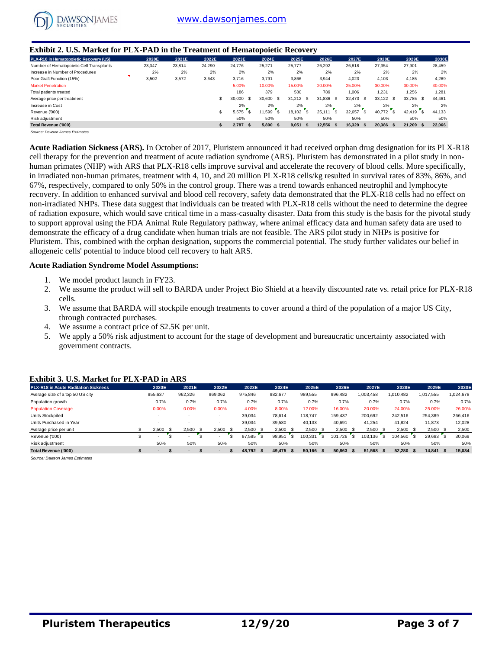

#### **Exhibit 2. U.S. Market for PLX-PAD in the Treatment of Hematopoietic Recovery**

| <b>Exhibit 2. U.S. Market for PLX-PAD in the Treatment of Hematopoietic Recovery</b> |        |        |        |                       |           |                        |              |             |               |           |        |
|--------------------------------------------------------------------------------------|--------|--------|--------|-----------------------|-----------|------------------------|--------------|-------------|---------------|-----------|--------|
| PLX-R18 in Hematopoietic Recovery (US)                                               | 2020E  | 2021E  | 2022E  | 2023E                 | 2024E     | 2025E                  | 2026E        | 2027E       | 2028E         | 2029E     | 2030E  |
| Number of Hematopoietic Cell Transplants                                             | 23,347 | 23,814 | 24,290 | 24,776                | 25,271    | 25,777                 | 26,292       | 26,818      | 27,354        | 27,901    | 28,459 |
| Increase in Number of Procedures                                                     | 2%     | 2%     | 2%     | 2%                    | 2%        | 2%                     | 2%           | 2%          | 2%            | 2%        | 2%     |
| Poor Graft Function (15%)                                                            | 3,502  | 3,572  | 3.643  | 3.716                 | 3.791     | 3,866                  | 3,944        | 4.023       | 4.103         | 4.185     | 4,269  |
| <b>Market Penetration</b>                                                            |        |        |        | 5.00%                 | 10.00%    | 15.00%                 | 20.00%       | 25.00%      | 30.00%        | 30.00%    | 30.00% |
| Total patients treated                                                               |        |        |        | 186                   | 379       | 580                    | 789          | 1.006       | 1.231         | 1.256     | 1.281  |
| Average price per treatment                                                          |        |        |        | 30,000<br>- \$        | 30,600 \$ | - \$<br>31.212         | 31.836 \$    | 32.473 \$   | 33.122 \$     | 33.785 \$ | 34,461 |
| Increase in Cost                                                                     |        |        |        | 2%                    | 2%        | 2%                     | 2%           | 2%          | 2%            | 2%        | 2%     |
| Revenue ('000)                                                                       |        |        |        | $\mathbf{s}$<br>5.575 | 11.599    | $\mathbf{s}$<br>18.102 | 's<br>25.111 | 32.657      | ' s<br>40.772 | 42.419    | 44,133 |
| Risk adjustment                                                                      |        |        |        | 50%                   | 50%       | 50%                    | 50%          | 50%         | 50%           | 50%       | 50%    |
| Total Revenue ('000)                                                                 |        |        |        | 2.787 S               | 5.800 S   | 9.051<br>-SS           | 12.556 \$    | $16,329$ \$ | 20,386 \$     | 21.209 S  | 22,066 |
| Source: Dawson James Estimates                                                       |        |        |        |                       |           |                        |              |             |               |           |        |

**Acute Radiation Sickness (ARS).** In October of 2017, Pluristem announced it had received orphan drug designation for its PLX-R18 cell therapy for the prevention and treatment of acute radiation syndrome (ARS). Pluristem has demonstrated in a pilot study in nonhuman primates (NHP) with ARS that PLX-R18 cells improve survival and accelerate the recovery of blood cells. More specifically, in irradiated non-human primates, treatment with 4, 10, and 20 million PLX-R18 cells/kg resulted in survival rates of 83%, 86%, and 67%, respectively, compared to only 50% in the control group. There was a trend towards enhanced neutrophil and lymphocyte recovery. In addition to enhanced survival and blood cell recovery, safety data demonstrated that the PLX-R18 cells had no effect on non-irradiated NHPs. These data suggest that individuals can be treated with PLX-R18 cells without the need to determine the degree of radiation exposure, which would save critical time in a mass-casualty disaster. Data from this study is the basis for the pivotal study to support approval using the FDA Animal Rule Regulatory pathway, where animal efficacy data and human safety data are used to demonstrate the efficacy of a drug candidate when human trials are not feasible. The ARS pilot study in NHPs is positive for Pluristem. This, combined with the orphan designation, supports the commercial potential. The study further validates our belief in allogeneic cells' potential to induce blood cell recovery to halt ARS.

#### **Acute Radiation Syndrome Model Assumptions:**

- 1. We model product launch in FY23.
- 2. We assume the product will sell to BARDA under Project Bio Shield at a heavily discounted rate vs. retail price for PLX-R18 cells.
- 3. We assume that BARDA will stockpile enough treatments to cover around a third of the population of a major US City, through contracted purchases.
- 4. We assume a contract price of \$2.5K per unit.
- 5. We apply a 50% risk adjustment to account for the stage of development and bureaucratic uncertainty associated with government contracts.

| <b>PLX-R18 in Acute Raditation Sickness</b> |     | 2020E          | 2021E                    | 2022E          | 2023E          |         | 2024E |      | 2025E     |    | 2026E     |    | 2027E       | 2028E     |      | 2029E     | 2030E     |
|---------------------------------------------|-----|----------------|--------------------------|----------------|----------------|---------|-------|------|-----------|----|-----------|----|-------------|-----------|------|-----------|-----------|
| Average size of a top 50 US city            |     | 955,637        | 962.326                  | 969,062        | 975,846        | 982,677 |       |      | 989,555   |    | 996,482   |    | 003,458     | 010.482   |      | 1,017,555 | 1,024,678 |
| Population growth                           |     | 0.7%           | 0.7%                     | 0.7%           | 0.7%           |         | 0.7%  |      | 0.7%      |    | 0.7%      |    | 0.7%        | 0.7%      |      | 0.7%      | 0.7%      |
| <b>Population Coverage</b>                  |     | 0.00%          | 0.00%                    | 0.00%          | 4.00%          |         | 8.00% |      | 12.00%    |    | 16.00%    |    | 20.00%      | 24.00%    |      | 25.00%    | 26.00%    |
| Units Stockpiled                            |     |                |                          |                | 39.034         | 78.614  |       |      | 118.747   |    | 159.437   |    | 200.692     | 242.516   |      | 254,389   | 266,416   |
| Units Purchased in Year                     |     |                |                          |                | 39.034         | 39,580  |       |      | 40.133    |    | 40,691    |    | 41.254      | 41.824    |      | 11,873    | 12,028    |
| Average price per unit                      |     | 2.500          | 2.500                    | 2.500          | 2.500          |         | 2.500 |      | 2,500     |    | 2.500     | -S | 2.500       | 2.500     | - \$ | 2.500     | 2,500     |
| Revenue ('000)                              |     |                |                          |                | 97.585         | 98.951  |       |      | 100.331   | £. | 101.726   |    | 103<br>.136 | 104.560   |      | 29.683    | 30,069    |
| Risk adjustment                             |     | 50%            | 50%                      | 50%            | 50%            |         | 50%   |      | 50%       |    | 50%       |    | 50%         | 50%       |      | 50%       | 50%       |
| Total Revenue ('000)                        | \$. | $\blacksquare$ | $\overline{\phantom{a}}$ | $\blacksquare$ | 48.792<br>- \$ | 49.475  |       | - \$ | 50.166 \$ |    | 50,863 \$ |    | 51.568      | 52.280 \$ |      | 14,841 \$ | 15,034    |

#### **Exhibit 3. U.S. Market for PLX-PAD in ARS**

*Source: Dawson James Estimates*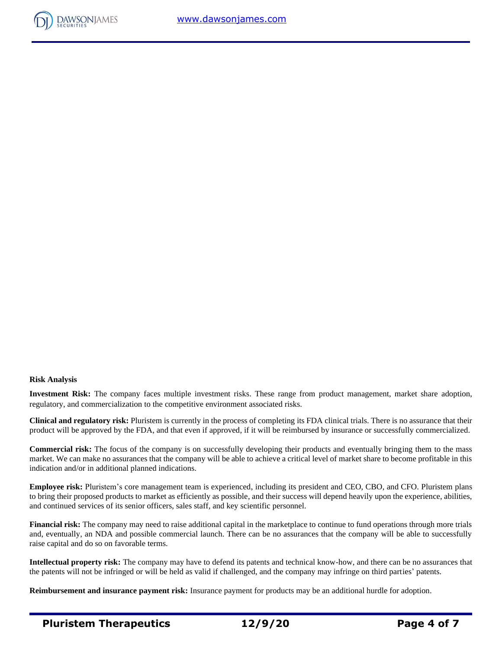

#### **Risk Analysis**

**Investment Risk:** The company faces multiple investment risks. These range from product management, market share adoption, regulatory, and commercialization to the competitive environment associated risks.

**Clinical and regulatory risk:** Pluristem is currently in the process of completing its FDA clinical trials. There is no assurance that their product will be approved by the FDA, and that even if approved, if it will be reimbursed by insurance or successfully commercialized.

**Commercial risk:** The focus of the company is on successfully developing their products and eventually bringing them to the mass market. We can make no assurances that the company will be able to achieve a critical level of market share to become profitable in this indication and/or in additional planned indications.

**Employee risk:** Pluristem's core management team is experienced, including its president and CEO, CBO, and CFO. Pluristem plans to bring their proposed products to market as efficiently as possible, and their success will depend heavily upon the experience, abilities, and continued services of its senior officers, sales staff, and key scientific personnel.

**Financial risk:** The company may need to raise additional capital in the marketplace to continue to fund operations through more trials and, eventually, an NDA and possible commercial launch. There can be no assurances that the company will be able to successfully raise capital and do so on favorable terms.

**Intellectual property risk:** The company may have to defend its patents and technical know-how, and there can be no assurances that the patents will not be infringed or will be held as valid if challenged, and the company may infringe on third parties' patents.

**Reimbursement and insurance payment risk:** Insurance payment for products may be an additional hurdle for adoption.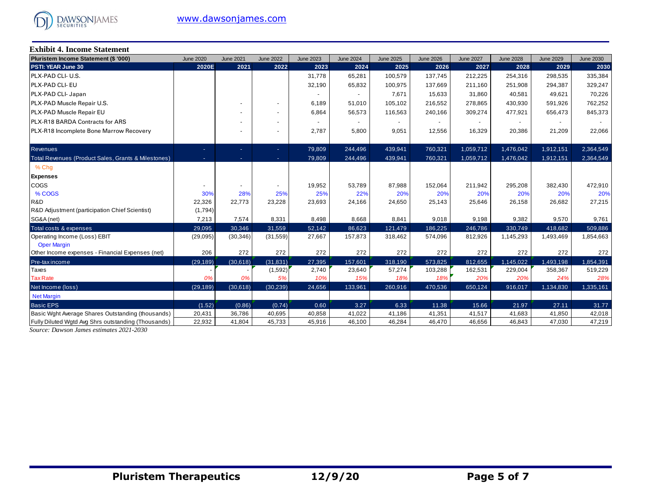

| <b>Exhibit 4. Income Statement</b>                  |                  |                  |                  |                  |                  |                  |                  |                  |                  |                  |                  |  |
|-----------------------------------------------------|------------------|------------------|------------------|------------------|------------------|------------------|------------------|------------------|------------------|------------------|------------------|--|
| Pluristem Income Statement (\$ '000)                | <b>June 2020</b> | <b>June 2021</b> | <b>June 2022</b> | <b>June 2023</b> | <b>June 2024</b> | <b>June 2025</b> | <b>June 2026</b> | <b>June 2027</b> | <b>June 2028</b> | <b>June 2029</b> | <b>June 2030</b> |  |
| PSTI: YEAR June 30                                  | 2020E            | 2021             | 2022             | 2023             | 2024             | 2025             | 2026             | 2027             | 2028             | 2029             | 2030             |  |
| PLX-PAD CLI- U.S.                                   |                  |                  |                  | 31,778           | 65,281           | 100,579          | 137,745          | 212,225          | 254,316          | 298,535          | 335,384          |  |
| PLX-PAD CLI- EU                                     |                  |                  |                  | 32,190           | 65,832           | 100,975          | 137,669          | 211,160          | 251,908          | 294,387          | 329,247          |  |
| PLX-PAD CLI- Japan                                  |                  |                  |                  | $\overline{a}$   | $\sim$           | 7,671            | 15,633           | 31,860           | 40,581           | 49,621           | 70,226           |  |
| PLX-PAD Muscle Repair U.S.                          |                  |                  | $\blacksquare$   | 6,189            | 51,010           | 105,102          | 216,552          | 278,865          | 430,930          | 591,926          | 762,252          |  |
| <b>PLX-PAD Muscle Repair EU</b>                     |                  |                  | $\blacksquare$   | 6,864            | 56,573           | 116,563          | 240,166          | 309,274          | 477,921          | 656,473          | 845,373          |  |
| PLX-R18 BARDA Contracts for ARS                     |                  |                  |                  |                  |                  |                  |                  |                  |                  |                  |                  |  |
| PLX-R18 Incomplete Bone Marrow Recovery             |                  |                  | $\blacksquare$   | 2,787            | 5,800            | 9,051            | 12,556           | 16,329           | 20,386           | 21,209           | 22,066           |  |
| <b>Revenues</b>                                     | ÷                | ٠                |                  | 79,809           | 244,496          | 439,941          | 760,321          | 1,059,712        | 1,476,042        | 1,912,151        | 2,364,549        |  |
| Total Revenues (Product Sales, Grants & Milestones) | ٠                | ٠                | $\sim$           | 79,809           | 244,496          | 439,941          | 760,321          | 1,059,712        | 1,476,042        | 1,912,151        | 2,364,549        |  |
|                                                     |                  |                  | $\sim$           |                  |                  |                  |                  |                  |                  |                  |                  |  |
| % Chq                                               |                  |                  |                  |                  |                  |                  |                  |                  |                  |                  |                  |  |
| <b>Expenses</b>                                     |                  |                  |                  |                  |                  |                  |                  |                  |                  |                  |                  |  |
| COGS                                                |                  |                  |                  | 19,952           | 53,789           | 87,988           | 152,064          | 211,942          | 295,208          | 382,430          | 472,910          |  |
| % COGS                                              | 30%              | 28%              | 25%              | 25%              | 22%              | 20%              | 20%              | 20%              | 20%              | 20%              | 20%              |  |
| R&D                                                 | 22,326           | 22,773           | 23,228           | 23,693           | 24,166           | 24,650           | 25,143           | 25,646           | 26,158           | 26,682           | 27,215           |  |
| R&D Adjustment (participation Chief Scientist)      | (1,794)          |                  |                  |                  |                  |                  |                  |                  |                  |                  |                  |  |
| SG&A (net)                                          | 7,213            | 7,574            | 8,331            | 8,498            | 8,668            | 8,841            | 9,018            | 9,198            | 9,382            | 9,570            | 9,761            |  |
| Total costs & expenses                              | 29,095           | 30,346           | 31,559           | 52,142           | 86,623           | 121,479          | 186,225          | 246,786          | 330,749          | 418,682          | 509,886          |  |
| Operating Income (Loss) EBIT                        | (29, 095)        | (30, 346)        | (31, 559)        | 27,667           | 157,873          | 318,462          | 574,096          | 812,926          | 1,145,293        | 1,493,469        | 1,854,663        |  |
| <b>Oper Margin</b>                                  |                  |                  |                  |                  |                  |                  |                  |                  |                  |                  |                  |  |
| Other Income expenses - Financial Expenses (net)    | 206              | 272              | 272              | 272              | 272              | 272              | 272              | 272              | 272              | 272              | 272              |  |
| Pre-tax income                                      | (29, 189)        | (30,618)         | (31, 831)        | 27,395           | 157,601          | 318,190          | 573,825          | 812,655          | 1,145,022        | 1,493,198        | 1,854,391        |  |
| Taxes                                               |                  |                  | (1,592)          | 2,740            | 23,640           | 57,274           | 103,288          | 162,531          | 229,004          | 358,367          | 519,229          |  |
| <b>Tax Rate</b>                                     | 0%               | 0%               | 5%               | 10%              | 15%              | 18%              | 18%              | 20%              | 20%              | 24%              | 28%              |  |
| Net Income (loss)                                   | (29, 189)        | (30,618)         | (30, 239)        | 24,656           | 133,961          | 260,916          | 470,536          | 650,124          | 916,017          | 1,134,830        | 1,335,161        |  |
| <b>Net Margin</b>                                   |                  |                  |                  |                  |                  |                  |                  |                  |                  |                  |                  |  |
| <b>Basic EPS</b>                                    | (1.52)           | (0.86)           | (0.74)           | 0.60             | 3.27             | 6.33             | 11.38            | 15.66            | 21.97            | 27.11            | 31.77            |  |
| Basic Wght Average Shares Outstanding (thousands)   | 20,431           | 36,786           | 40,695           | 40,858           | 41,022           | 41,186           | 41,351           | 41,517           | 41,683           | 41,850           | 42,018           |  |
| Fully Diluted Wgtd Avg Shrs outstanding (Thousands) | 22,932           | 41,804           | 45,733           | 45,916           | 46,100           | 46,284           | 46,470           | 46,656           | 46,843           | 47,030           | 47,219           |  |

*Source: Dawson James estimates 2021-2030*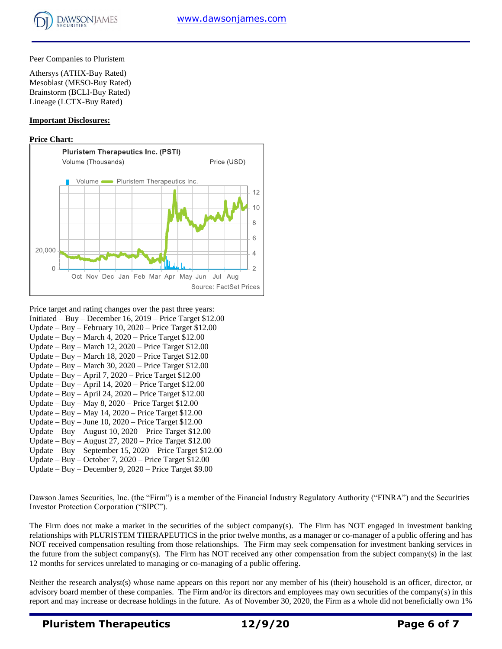#### Peer Companies to Pluristem

Athersys (ATHX-Buy Rated) Mesoblast (MESO-Buy Rated) Brainstorm (BCLI-Buy Rated) Lineage (LCTX-Buy Rated)

#### **Important Disclosures:**

#### **Price Chart:**



- Price target and rating changes over the past three years:
- Initiated Buy December 16, 2019 Price Target \$12.00
- Update Buy February 10, 2020 Price Target \$12.00 Update – Buy – March 4, 2020 – Price Target \$12.00
- Update Buy March 12, 2020 Price Target \$12.00
- Update Buy March 18, 2020 Price Target \$12.00
- Update Buy March 30, 2020 Price Target \$12.00
- Update Buy April 7, 2020 Price Target \$12.00
- Update Buy April 14, 2020 Price Target \$12.00
- Update Buy April 24, 2020 Price Target \$12.00
- Update Buy May 8, 2020 Price Target \$12.00
- Update Buy May 14, 2020 Price Target \$12.00
- Update Buy June 10, 2020 Price Target \$12.00
- Update Buy August 10, 2020 Price Target \$12.00
- Update Buy August 27, 2020 Price Target \$12.00
- Update Buy September 15, 2020 Price Target \$12.00
- Update Buy October 7, 2020 Price Target \$12.00
- Update Buy December 9, 2020 Price Target \$9.00

Dawson James Securities, Inc. (the "Firm") is a member of the Financial Industry Regulatory Authority ("FINRA") and the Securities Investor Protection Corporation ("SIPC").

The Firm does not make a market in the securities of the subject company(s). The Firm has NOT engaged in investment banking relationships with PLURISTEM THERAPEUTICS in the prior twelve months, as a manager or co-manager of a public offering and has NOT received compensation resulting from those relationships. The Firm may seek compensation for investment banking services in the future from the subject company(s). The Firm has NOT received any other compensation from the subject company(s) in the last 12 months for services unrelated to managing or co-managing of a public offering.

Neither the research analyst(s) whose name appears on this report nor any member of his (their) household is an officer, director, or advisory board member of these companies. The Firm and/or its directors and employees may own securities of the company(s) in this report and may increase or decrease holdings in the future. As of November 30, 2020, the Firm as a whole did not beneficially own 1%